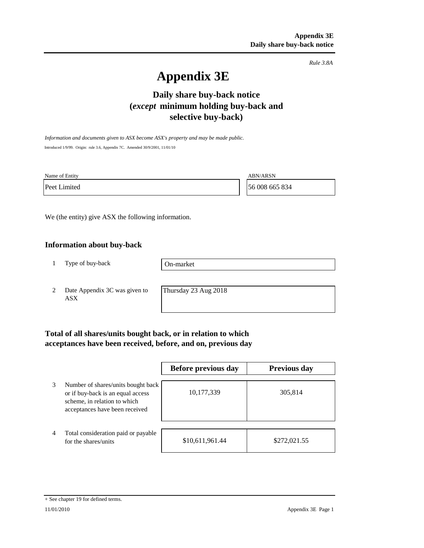*Rule 3.8A*

# **Appendix 3E**

# **Daily share buy-back notice (***except* **minimum holding buy-back and selective buy-back)**

*Information and documents given to ASX become ASX's property and may be made public.* Introduced 1/9/99. Origin: rule 3.6, Appendix 7C. Amended 30/9/2001, 11/01/10

Name of Entity ABN/ARSN

Peet Limited 56 008 665 834

We (the entity) give ASX the following information.

### **Information about buy-back**

1 Type of buy-back

On-market

2 Date Appendix 3C was given to ASX

Thursday 23 Aug 2018

# **Total of all shares/units bought back, or in relation to which acceptances have been received, before, and on, previous day**

|   |                                                                                                                                           | Before previous day | <b>Previous day</b> |
|---|-------------------------------------------------------------------------------------------------------------------------------------------|---------------------|---------------------|
| 3 | Number of shares/units bought back<br>or if buy-back is an equal access<br>scheme, in relation to which<br>acceptances have been received | 10,177,339          | 305,814             |
| 4 | Total consideration paid or payable<br>for the shares/units                                                                               | \$10,611,961.44     | \$272,021.55        |

#### + See chapter 19 for defined terms.